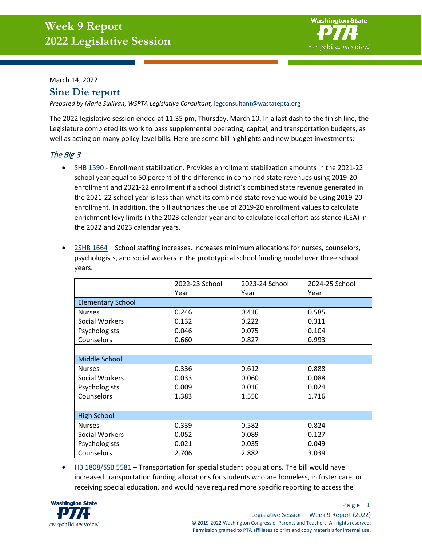

#### March 14, 2022

# **Sine Die report**

Prepared by Marie Sullivan, WSPTA Legislative Consultant, [legconsultant@wastatepta.org](mailto:legconsultant@wastatepta.org)

The 2022 legislative session ended at 11:35 pm, Thursday, March 10. In a last dash to the finish line, the Legislature completed its work to pass supplemental operating, capital, and transportation budgets, as well as acting on many policy-level bills. Here are some bill highlights and new budget investments:

# The Big 3

• [SHB 1590](https://app.leg.wa.gov/billsummary?BillNumber=1590&Year=2021&Initiative=false) - Enrollment stabilization. Provides enrollment stabilization amounts in the 2021-22 school year equal to 50 percent of the difference in combined state revenues using 2019-20 enrollment and 2021-22 enrollment if a school district's combined state revenue generated in the 2021-22 school year is less than what its combined state revenue would be using 2019-20 enrollment. In addition, the bill authorizes the use of 2019-20 enrollment values to calculate enrichment levy limits in the 2023 calendar year and to calculate local effort assistance (LEA) in the 2022 and 2023 calendar years.

|                          | 2022-23 School | 2023-24 School | 2024-25 School |  |
|--------------------------|----------------|----------------|----------------|--|
|                          | Year           | Year           | Year           |  |
| <b>Elementary School</b> |                |                |                |  |
| <b>Nurses</b>            | 0.246          | 0.416          | 0.585          |  |
| Social Workers           | 0.132          | 0.222          | 0.311          |  |
| Psychologists            | 0.046          | 0.075          | 0.104          |  |
| Counselors               | 0.660          | 0.827          | 0.993          |  |
|                          |                |                |                |  |
| Middle School            |                |                |                |  |
| <b>Nurses</b>            | 0.336          | 0.612          | 0.888          |  |
| Social Workers           | 0.033          | 0.060          | 0.088          |  |
| Psychologists            | 0.009          | 0.016          | 0.024          |  |
| Counselors               | 1.383          | 1.550          | 1.716          |  |
|                          |                |                |                |  |
| <b>High School</b>       |                |                |                |  |
| <b>Nurses</b>            | 0.339          | 0.582          | 0.824          |  |
| Social Workers           | 0.052          | 0.089          | 0.127          |  |
| Psychologists            | 0.021          | 0.035          | 0.049          |  |
| Counselors               | 2.706          | 2.882          | 3.039          |  |

• [2SHB 1664](https://app.leg.wa.gov/billsummary?BillNumber=1664&Initiative=false&Year=2021) – School staffing increases. Increases minimum allocations for nurses, counselors, psychologists, and social workers in the prototypical school funding model over three school years.

• [HB 1808/](https://app.leg.wa.gov/billsummary?BillNumber=1808&Initiative=false&Year=2021)[SSB 5581](https://app.leg.wa.gov/billsummary?BillNumber=5581&Initiative=false&Year=2021) – Transportation for special student populations. The bill would have increased transportation funding allocations for students who are homeless, in foster care, or receiving special education, and would have required more specific reporting to access the

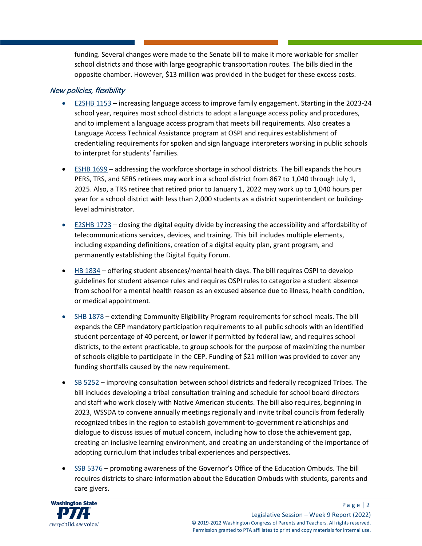funding. Several changes were made to the Senate bill to make it more workable for smaller school districts and those with large geographic transportation routes. The bills died in the opposite chamber. However, \$13 million was provided in the budget for these excess costs.

#### New policies, flexibility

- [E2SHB 1153](https://app.leg.wa.gov/billsummary?BillNumber=1153&Initiative=false&Year=2021) increasing language access to improve family engagement. Starting in the 2023-24 school year, requires most school districts to adopt a language access policy and procedures, and to implement a language access program that meets bill requirements. Also creates a Language Access Technical Assistance program at OSPI and requires establishment of credentialing requirements for spoken and sign language interpreters working in public schools to interpret for students' families.
- [ESHB 1699](https://app.leg.wa.gov/billsummary?BillNumber=1699&Initiative=false&Year=2021) addressing the workforce shortage in school districts. The bill expands the hours PERS, TRS, and SERS retirees may work in a school district from 867 to 1,040 through July 1, 2025. Also, a TRS retiree that retired prior to January 1, 2022 may work up to 1,040 hours per year for a school district with less than 2,000 students as a district superintendent or buildinglevel administrator.
- [E2SHB 1723](https://app.leg.wa.gov/billsummary?BillNumber=1723&Initiative=false&Year=2021) closing the digital equity divide by increasing the accessibility and affordability of telecommunications services, devices, and training. This bill includes multiple elements, including expanding definitions, creation of a digital equity plan, grant program, and permanently establishing the Digital Equity Forum.
- [HB 1834](https://app.leg.wa.gov/billsummary?BillNumber=1834&Initiative=false&Year=2021) offering student absences/mental health days. The bill requires OSPI to develop guidelines for student absence rules and requires OSPI rules to categorize a student absence from school for a mental health reason as an excused absence due to illness, health condition, or medical appointment.
- [SHB 1878](https://app.leg.wa.gov/billsummary?BillNumber=1878&Initiative=false&Year=2021) extending Community Eligibility Program requirements for school meals. The bill expands the CEP mandatory participation requirements to all public schools with an identified student percentage of 40 percent, or lower if permitted by federal law, and requires school districts, to the extent practicable, to group schools for the purpose of maximizing the number of schools eligible to participate in the CEP. Funding of \$21 million was provided to cover any funding shortfalls caused by the new requirement.
- [SB 5252](https://app.leg.wa.gov/billsummary?BillNumber=5252&Initiative=false&Year=2021) improving consultation between school districts and federally recognized Tribes. The bill includes developing a tribal consultation training and schedule for school board directors and staff who work closely with Native American students. The bill also requires, beginning in 2023, WSSDA to convene annually meetings regionally and invite tribal councils from federally recognized tribes in the region to establish government-to-government relationships and dialogue to discuss issues of mutual concern, including how to close the achievement gap, creating an inclusive learning environment, and creating an understanding of the importance of adopting curriculum that includes tribal experiences and perspectives.
- [SSB 5376](https://app.leg.wa.gov/billsummary?BillNumber=5376&Initiative=false&Year=2021) promoting awareness of the Governor's Office of the Education Ombuds. The bill requires districts to share information about the Education Ombuds with students, parents and care givers.

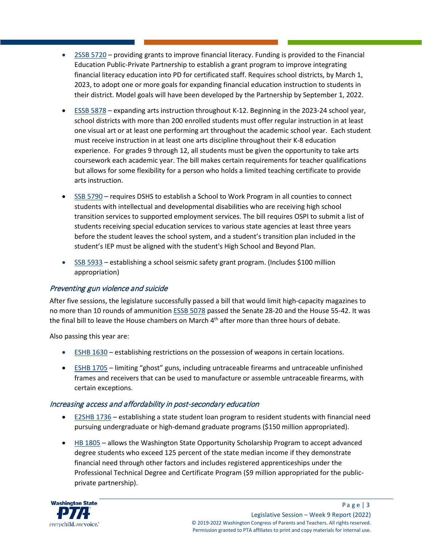- [2SSB 5720](https://app.leg.wa.gov/billsummary?BillNumber=5720&Initiative=false&Year=2021) providing grants to improve financial literacy. Funding is provided to the Financial Education Public-Private Partnership to establish a grant program to improve integrating financial literacy education into PD for certificated staff. Requires school districts, by March 1, 2023, to adopt one or more goals for expanding financial education instruction to students in their district. Model goals will have been developed by the Partnership by September 1, 2022.
- [ESSB 5878](https://app.leg.wa.gov/billsummary?BillNumber=5878&Initiative=false&Year=2021) expanding arts instruction throughout K-12. Beginning in the 2023-24 school year, school districts with more than 200 enrolled students must offer regular instruction in at least one visual art or at least one performing art throughout the academic school year. Each student must receive instruction in at least one arts discipline throughout their K-8 education experience. For grades 9 through 12, all students must be given the opportunity to take arts coursework each academic year. The bill makes certain requirements for teacher qualifications but allows for some flexibility for a person who holds a limited teaching certificate to provide arts instruction.
- [SSB 5790](https://app.leg.wa.gov/billsummary?BillNumber=5790&Initiative=false&Year=2021) requires DSHS to establish a School to Work Program in all counties to connect students with intellectual and developmental disabilities who are receiving high school transition services to supported employment services. The bill requires OSPI to submit a list of students receiving special education services to various state agencies at least three years before the student leaves the school system, and a student's transition plan included in the student's IEP must be aligned with the student's High School and Beyond Plan.
- [SSB 5933](https://app.leg.wa.gov/billsummary?BillNumber=5790&Initiative=false&Year=2021) establishing a school seismic safety grant program. (Includes \$100 million appropriation)

# Preventing gun violence and suicide

After five sessions, the legislature successfully passed a bill that would limit high-capacity magazines to no more than 10 rounds of ammunitio[n ESSB 5078](https://app.leg.wa.gov/billsummary?BillNumber=5078&Year=2021&Initiative=false) passed the Senate 28-20 and the House 55-42. It was the final bill to leave the House chambers on March 4<sup>th</sup> after more than three hours of debate.

Also passing this year are:

- [ESHB 1630](https://app.leg.wa.gov/billsummary?BillNumber=1630&Initiative=false&Year=2021) establishing restrictions on the possession of weapons in certain locations.
- [ESHB 1705](https://app.leg.wa.gov/billsummary?BillNumber=1705&Initiative=false&Year=2021) limiting "ghost" guns, including untraceable firearms and untraceable unfinished frames and receivers that can be used to manufacture or assemble untraceable firearms, with certain exceptions.

# Increasing access and affordability in post-secondary education

- [E2SHB 1736](https://app.leg.wa.gov/billsummary?BillNumber=1736&Initiative=false&Year=2021) establishing a state student loan program to resident students with financial need pursuing undergraduate or high-demand graduate programs (\$150 million appropriated).
- [HB 1805](https://app.leg.wa.gov/billsummary?BillNumber=1805&Initiative=false&Year=2021) allows the Washington State Opportunity Scholarship Program to accept advanced degree students who exceed 125 percent of the state median income if they demonstrate financial need through other factors and includes registered apprenticeships under the Professional Technical Degree and Certificate Program (\$9 million appropriated for the publicprivate partnership).

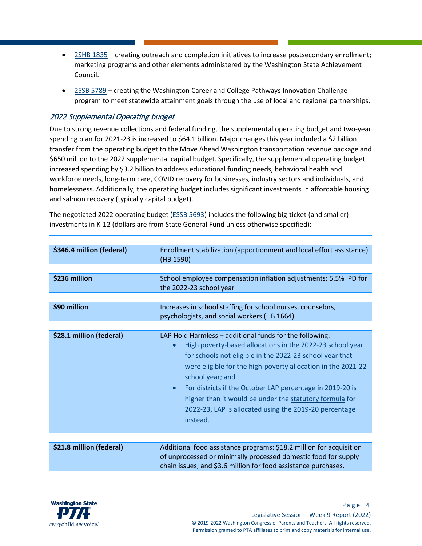- [2SHB 1835](https://app.leg.wa.gov/billsummary?BillNumber=1835&Initiative=false&Year=2021) creating outreach and completion initiatives to increase postsecondary enrollment; marketing programs and other elements administered by the Washington State Achievement Council.
- [2SSB 5789](https://app.leg.wa.gov/billsummary?BillNumber=5789&Initiative=false&Year=2021) creating the Washington Career and College Pathways Innovation Challenge program to meet statewide attainment goals through the use of local and regional partnerships.

#### 2022 Supplemental Operating budget

Due to strong revenue collections and federal funding, the supplemental operating budget and two-year spending plan for 2021-23 is increased to \$64.1 billion. Major changes this year included a \$2 billion transfer from the operating budget to the Move Ahead Washington transportation revenue package and \$650 million to the 2022 supplemental capital budget. Specifically, the supplemental operating budget increased spending by \$3.2 billion to address educational funding needs, behavioral health and workforce needs, long-term care, COVID recovery for businesses, industry sectors and individuals, and homelessness. Additionally, the operating budget includes significant investments in affordable housing and salmon recovery (typically capital budget).

The negotiated 2022 operating budget [\(ESSB 5693\)](https://app.leg.wa.gov/billsummary?BillNumber=5693&Initiative=false&Year=2021) includes the following big-ticket (and smaller) investments in K-12 (dollars are from State General Fund unless otherwise specified):

| \$346.4 million (federal) | Enrollment stabilization (apportionment and local effort assistance)<br>(HB 1590)                                                                                                                                                                                                                                                                                                                                                                                               |  |
|---------------------------|---------------------------------------------------------------------------------------------------------------------------------------------------------------------------------------------------------------------------------------------------------------------------------------------------------------------------------------------------------------------------------------------------------------------------------------------------------------------------------|--|
|                           |                                                                                                                                                                                                                                                                                                                                                                                                                                                                                 |  |
| \$236 million             | School employee compensation inflation adjustments; 5.5% IPD for<br>the 2022-23 school year                                                                                                                                                                                                                                                                                                                                                                                     |  |
|                           |                                                                                                                                                                                                                                                                                                                                                                                                                                                                                 |  |
| \$90 million              | Increases in school staffing for school nurses, counselors,<br>psychologists, and social workers (HB 1664)                                                                                                                                                                                                                                                                                                                                                                      |  |
|                           |                                                                                                                                                                                                                                                                                                                                                                                                                                                                                 |  |
| \$28.1 million (federal)  | LAP Hold Harmless - additional funds for the following:<br>High poverty-based allocations in the 2022-23 school year<br>for schools not eligible in the 2022-23 school year that<br>were eligible for the high-poverty allocation in the 2021-22<br>school year; and<br>For districts if the October LAP percentage in 2019-20 is<br>$\bullet$<br>higher than it would be under the statutory formula for<br>2022-23, LAP is allocated using the 2019-20 percentage<br>instead. |  |
|                           |                                                                                                                                                                                                                                                                                                                                                                                                                                                                                 |  |
| \$21.8 million (federal)  | Additional food assistance programs: \$18.2 million for acquisition<br>of unprocessed or minimally processed domestic food for supply<br>chain issues; and \$3.6 million for food assistance purchases.                                                                                                                                                                                                                                                                         |  |

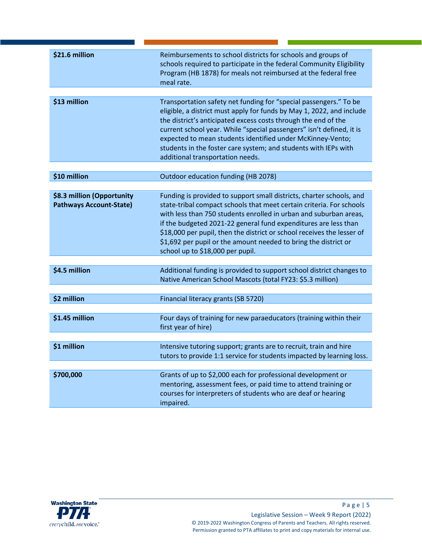| \$21.6 million                                               | Reimbursements to school districts for schools and groups of<br>schools required to participate in the federal Community Eligibility<br>Program (HB 1878) for meals not reimbursed at the federal free<br>meal rate.                                                                                                                                                                                                                                                  |
|--------------------------------------------------------------|-----------------------------------------------------------------------------------------------------------------------------------------------------------------------------------------------------------------------------------------------------------------------------------------------------------------------------------------------------------------------------------------------------------------------------------------------------------------------|
| \$13 million                                                 | Transportation safety net funding for "special passengers." To be<br>eligible, a district must apply for funds by May 1, 2022, and include<br>the district's anticipated excess costs through the end of the<br>current school year. While "special passengers" isn't defined, it is<br>expected to mean students identified under McKinney-Vento;<br>students in the foster care system; and students with IEPs with<br>additional transportation needs.             |
| \$10 million                                                 | Outdoor education funding (HB 2078)                                                                                                                                                                                                                                                                                                                                                                                                                                   |
|                                                              |                                                                                                                                                                                                                                                                                                                                                                                                                                                                       |
| \$8.3 million (Opportunity<br><b>Pathways Account-State)</b> | Funding is provided to support small districts, charter schools, and<br>state-tribal compact schools that meet certain criteria. For schools<br>with less than 750 students enrolled in urban and suburban areas,<br>if the budgeted 2021-22 general fund expenditures are less than<br>\$18,000 per pupil, then the district or school receives the lesser of<br>\$1,692 per pupil or the amount needed to bring the district or<br>school up to \$18,000 per pupil. |
|                                                              |                                                                                                                                                                                                                                                                                                                                                                                                                                                                       |
| \$4.5 million                                                | Additional funding is provided to support school district changes to<br>Native American School Mascots (total FY23: \$5.3 million)                                                                                                                                                                                                                                                                                                                                    |
|                                                              |                                                                                                                                                                                                                                                                                                                                                                                                                                                                       |
| \$2 million                                                  | Financial literacy grants (SB 5720)                                                                                                                                                                                                                                                                                                                                                                                                                                   |
| \$1.45 million                                               | Four days of training for new paraeducators (training within their<br>first year of hire)                                                                                                                                                                                                                                                                                                                                                                             |
| \$1 million                                                  | Intensive tutoring support; grants are to recruit, train and hire<br>tutors to provide 1:1 service for students impacted by learning loss.                                                                                                                                                                                                                                                                                                                            |
| \$700,000                                                    | Grants of up to \$2,000 each for professional development or<br>mentoring, assessment fees, or paid time to attend training or<br>courses for interpreters of students who are deaf or hearing<br>impaired.                                                                                                                                                                                                                                                           |